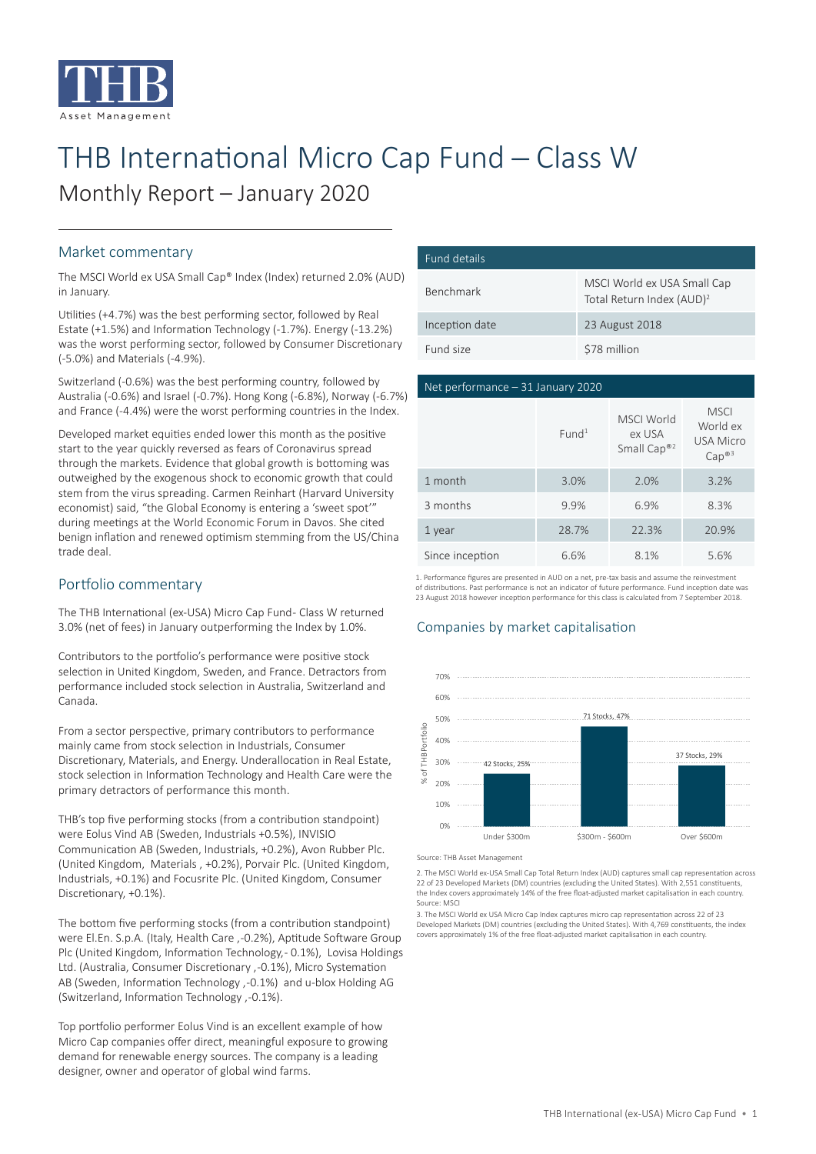

# THB International Micro Cap Fund - Class W Monthly Report – January 2020

#### Market commentary

The MSCI World ex USA Small Cap® Index (Index) returned 2.0% (AUD) in January.

Utilities (+4.7%) was the best performing sector, followed by Real Estate (+1.5%) and Information Technology (-1.7%). Energy (-13.2%) was the worst performing sector, followed by Consumer Discretionary (-5.0%) and Materials (-4.9%).

Switzerland (-0.6%) was the best performing country, followed by Australia (-0.6%) and Israel (-0.7%). Hong Kong (-6.8%), Norway (-6.7%) and France (-4.4%) were the worst performing countries in the Index.

Developed market equities ended lower this month as the positive start to the year quickly reversed as fears of Coronavirus spread through the markets. Evidence that global growth is bottoming was outweighed by the exogenous shock to economic growth that could stem from the virus spreading. Carmen Reinhart (Harvard University economist) said, "the Global Economy is entering a 'sweet spot'" during meetings at the World Economic Forum in Davos. She cited benign inflation and renewed optimism stemming from the US/China trade deal.

## Portfolio commentary

The THB International (ex-USA) Micro Cap Fund- Class W returned 3.0% (net of fees) in January outperforming the Index by 1.0%.

Contributors to the portfolio's performance were positive stock selection in United Kingdom, Sweden, and France. Detractors from performance included stock selection in Australia, Switzerland and Canada.

From a sector perspective, primary contributors to performance mainly came from stock selection in Industrials, Consumer Discretionary, Materials, and Energy. Underallocation in Real Estate, stock selection in Information Technology and Health Care were the primary detractors of performance this month.

THB's top five performing stocks (from a contribution standpoint) were Eolus Vind AB (Sweden, Industrials +0.5%), INVISIO Communication AB (Sweden, Industrials, +0.2%), Avon Rubber Plc. (United Kingdom, Materials , +0.2%), Porvair Plc. (United Kingdom, Industrials, +0.1%) and Focusrite Plc. (United Kingdom, Consumer Discretionary, +0.1%).

The bottom five performing stocks (from a contribution standpoint) were El.En. S.p.A. (Italy, Health Care , -0.2%), Aptitude Software Group Plc (United Kingdom, Information Technology, - 0.1%), Lovisa Holdings Ltd. (Australia, Consumer Discretionary , -0.1%), Micro Systemation AB (Sweden, Information Technology , -0.1%) and u-blox Holding AG (Switzerland, Information Technology , -0.1%).

Top portfolio performer Eolus Vind is an excellent example of how Micro Cap companies offer direct, meaningful exposure to growing demand for renewable energy sources. The company is a leading designer, owner and operator of global wind farms.

| Fund details     |                                                                      |
|------------------|----------------------------------------------------------------------|
| <b>Benchmark</b> | MSCI World ex USA Small Cap<br>Total Return Index (AUD) <sup>2</sup> |
| Inception date   | 23 August 2018                                                       |
| Fund size        | \$78 million                                                         |

#### Net performance – 31 January 2020

|                 | Fund <sup>1</sup> | <b>MSCI World</b><br>ex USA<br>Small Cap® <sup>2</sup> | <b>MSCI</b><br>World ex<br><b>USA Micro</b><br>Cap <sup>®3</sup> |
|-----------------|-------------------|--------------------------------------------------------|------------------------------------------------------------------|
| 1 month         | 3.0%              | 2.0%                                                   | 3.2%                                                             |
| 3 months        | 9.9%              | 6.9%                                                   | 8.3%                                                             |
| 1 year          | 28.7%             | 22.3%                                                  | 20.9%                                                            |
| Since inception | 6.6%              | 8.1%                                                   | 5.6%                                                             |

1. Performance figures are presented in AUD on a net, pre-tax basis and assume the reinvestment of distributions. Past performance is not an indicator of future performance. Fund inception date was 23 August 2018 however inception performance for this class is calculated from 7 September 2018.

#### Companies by market capitalisation



Source: THB Asset Management

2. The MSCI World ex-USA Small Cap Total Return Index (AUD) captures small cap representation across 22 of 23 Developed Markets (DM) countries (excluding the United States). With 2,551 constituents, the Index covers approximately 14% of the free float-adjusted market capitalisation in each country. Source: MSCI

3. The MSCI World ex USA Micro Cap Index captures micro cap representation across 22 of 23 Developed Markets (DM) countries (excluding the United States). With 4,769 constituents, the index covers approximately 1% of the free float-adjusted market capitalisation in each country.